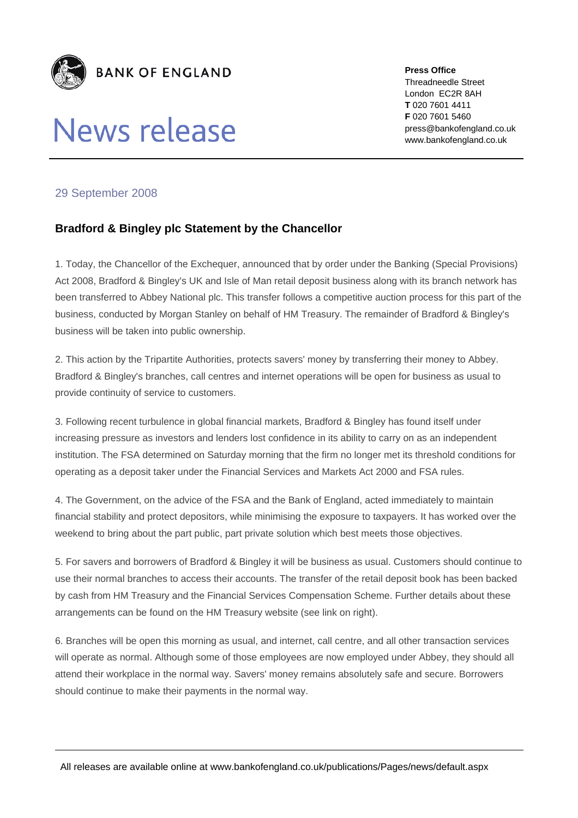

## News release

**Press Office**  Threadneedle Street London EC2R 8AH **T** 020 7601 4411 **F** 020 7601 5460 press@bankofengland.co.uk www.bankofengland.co.uk

## 29 September 2008

## **Bradford & Bingley plc Statement by the Chancellor**

1. Today, the Chancellor of the Exchequer, announced that by order under the Banking (Special Provisions) Act 2008, Bradford & Bingley's UK and Isle of Man retail deposit business along with its branch network has been transferred to Abbey National plc. This transfer follows a competitive auction process for this part of the business, conducted by Morgan Stanley on behalf of HM Treasury. The remainder of Bradford & Bingley's business will be taken into public ownership.

2. This action by the Tripartite Authorities, protects savers' money by transferring their money to Abbey. Bradford & Bingley's branches, call centres and internet operations will be open for business as usual to provide continuity of service to customers.

3. Following recent turbulence in global financial markets, Bradford & Bingley has found itself under increasing pressure as investors and lenders lost confidence in its ability to carry on as an independent institution. The FSA determined on Saturday morning that the firm no longer met its threshold conditions for operating as a deposit taker under the Financial Services and Markets Act 2000 and FSA rules.

4. The Government, on the advice of the FSA and the Bank of England, acted immediately to maintain financial stability and protect depositors, while minimising the exposure to taxpayers. It has worked over the weekend to bring about the part public, part private solution which best meets those objectives.

5. For savers and borrowers of Bradford & Bingley it will be business as usual. Customers should continue to use their normal branches to access their accounts. The transfer of the retail deposit book has been backed by cash from HM Treasury and the Financial Services Compensation Scheme. Further details about these arrangements can be found on the HM Treasury website (see link on right).

6. Branches will be open this morning as usual, and internet, call centre, and all other transaction services will operate as normal. Although some of those employees are now employed under Abbey, they should all attend their workplace in the normal way. Savers' money remains absolutely safe and secure. Borrowers should continue to make their payments in the normal way.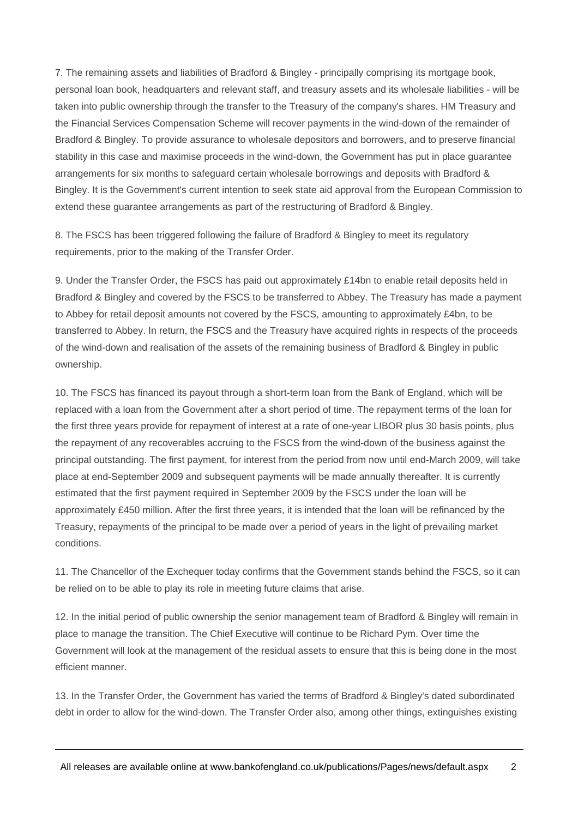7. The remaining assets and liabilities of Bradford & Bingley - principally comprising its mortgage book, personal loan book, headquarters and relevant staff, and treasury assets and its wholesale liabilities - will be taken into public ownership through the transfer to the Treasury of the company's shares. HM Treasury and the Financial Services Compensation Scheme will recover payments in the wind-down of the remainder of Bradford & Bingley. To provide assurance to wholesale depositors and borrowers, and to preserve financial stability in this case and maximise proceeds in the wind-down, the Government has put in place guarantee arrangements for six months to safeguard certain wholesale borrowings and deposits with Bradford & Bingley. It is the Government's current intention to seek state aid approval from the European Commission to extend these guarantee arrangements as part of the restructuring of Bradford & Bingley.

8. The FSCS has been triggered following the failure of Bradford & Bingley to meet its regulatory requirements, prior to the making of the Transfer Order.

9. Under the Transfer Order, the FSCS has paid out approximately £14bn to enable retail deposits held in Bradford & Bingley and covered by the FSCS to be transferred to Abbey. The Treasury has made a payment to Abbey for retail deposit amounts not covered by the FSCS, amounting to approximately £4bn, to be transferred to Abbey. In return, the FSCS and the Treasury have acquired rights in respects of the proceeds of the wind-down and realisation of the assets of the remaining business of Bradford & Bingley in public ownership.

10. The FSCS has financed its payout through a short-term loan from the Bank of England, which will be replaced with a loan from the Government after a short period of time. The repayment terms of the loan for the first three years provide for repayment of interest at a rate of one-year LIBOR plus 30 basis points, plus the repayment of any recoverables accruing to the FSCS from the wind-down of the business against the principal outstanding. The first payment, for interest from the period from now until end-March 2009, will take place at end-September 2009 and subsequent payments will be made annually thereafter. It is currently estimated that the first payment required in September 2009 by the FSCS under the loan will be approximately £450 million. After the first three years, it is intended that the loan will be refinanced by the Treasury, repayments of the principal to be made over a period of years in the light of prevailing market conditions.

11. The Chancellor of the Exchequer today confirms that the Government stands behind the FSCS, so it can be relied on to be able to play its role in meeting future claims that arise.

12. In the initial period of public ownership the senior management team of Bradford & Bingley will remain in place to manage the transition. The Chief Executive will continue to be Richard Pym. Over time the Government will look at the management of the residual assets to ensure that this is being done in the most efficient manner.

13. In the Transfer Order, the Government has varied the terms of Bradford & Bingley's dated subordinated debt in order to allow for the wind-down. The Transfer Order also, among other things, extinguishes existing